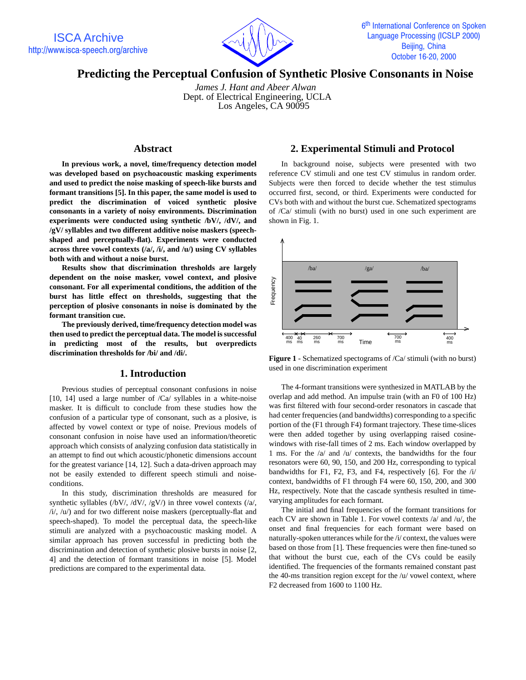

# **Predicting the Perceptual Confusion of Synthetic Plosive Consonants in Noise**

 *James J. Hant and Abeer Alwan* Dept. of Electrical Engineering, UCLA Los Angeles, CA 90095

## **Abstract**

**In previous work, a novel, time/frequency detection model was developed based on psychoacoustic masking experiments and used to predict the noise masking of speech-like bursts and formant transitions [5]. In this paper, the same model is used to predict the discrimination of voiced synthetic plosive consonants in a variety of noisy environments. Discrimination experiments were conducted using synthetic /bV/, /dV/, and /gV/ syllables and two different additive noise maskers (speechshaped and perceptually-flat). Experiments were conducted across three vowel contexts (/a/, /i/, and /u/) using CV syllables both with and without a noise burst.**

**Results show that discrimination thresholds are largely dependent on the noise masker, vowel context, and plosive consonant. For all experimental conditions, the addition of the burst has little effect on thresholds, suggesting that the perception of plosive consonants in noise is dominated by the formant transition cue.**

**The previously derived, time/frequency detection model was then used to predict the perceptual data. The model is successful in predicting most of the results, but overpredicts discrimination thresholds for /bi/ and /di/.**

### **1. Introduction**

Previous studies of perceptual consonant confusions in noise [10, 14] used a large number of /Ca/ syllables in a white-noise masker. It is difficult to conclude from these studies how the confusion of a particular type of consonant, such as a plosive, is affected by vowel context or type of noise. Previous models of consonant confusion in noise have used an information/theoretic approach which consists of analyzing confusion data statistically in an attempt to find out which acoustic/phonetic dimensions account for the greatest variance [14, 12]. Such a data-driven approach may not be easily extended to different speech stimuli and noiseconditions.

In this study, discrimination thresholds are measured for synthetic syllables (/bV/, /dV/, /gV/) in three vowel contexts (/a/,  $/i/$ ,  $/u/$ ) and for two different noise maskers (perceptually-flat and speech-shaped). To model the perceptual data, the speech-like stimuli are analyzed with a psychoacoustic masking model. A similar approach has proven successful in predicting both the discrimination and detection of synthetic plosive bursts in noise [2, 4] and the detection of formant transitions in noise [5]. Model predictions are compared to the experimental data.

# **2. Experimental Stimuli and Protocol**

In background noise, subjects were presented with two reference CV stimuli and one test CV stimulus in random order. Subjects were then forced to decide whether the test stimulus occurred first, second, or third. Experiments were conducted for CVs both with and without the burst cue. Schematized spectograms of /Ca/ stimuli (with no burst) used in one such experiment are shown in Fig. 1.



**Figure 1** - Schematized spectograms of /Ca/ stimuli (with no burst) used in one discrimination experiment

The 4-formant transitions were synthesized in MATLAB by the overlap and add method. An impulse train (with an F0 of 100 Hz) was first filtered with four second-order resonators in cascade that had center frequencies (and bandwidths) corresponding to a specific portion of the (F1 through F4) formant trajectory. These time-slices were then added together by using overlapping raised cosinewindows with rise-fall times of 2 ms. Each window overlapped by 1 ms. For the /a/ and /u/ contexts, the bandwidths for the four resonators were 60, 90, 150, and 200 Hz, corresponding to typical bandwidths for F1, F2, F3, and F4, respectively [6]. For the /i/ context, bandwidths of F1 through F4 were 60, 150, 200, and 300 Hz, respectively. Note that the cascade synthesis resulted in timevarying amplitudes for each formant.

The initial and final frequencies of the formant transitions for each CV are shown in Table 1. For vowel contexts /a/ and /u/, the onset and final frequencies for each formant were based on naturally-spoken utterances while for the /i/ context, the values were based on those from [1]. These frequencies were then fine-tuned so that without the burst cue, each of the CVs could be easily identified. The frequencies of the formants remained constant past the 40-ms transition region except for the /u/ vowel context, where F2 decreased from 1600 to 1100 Hz.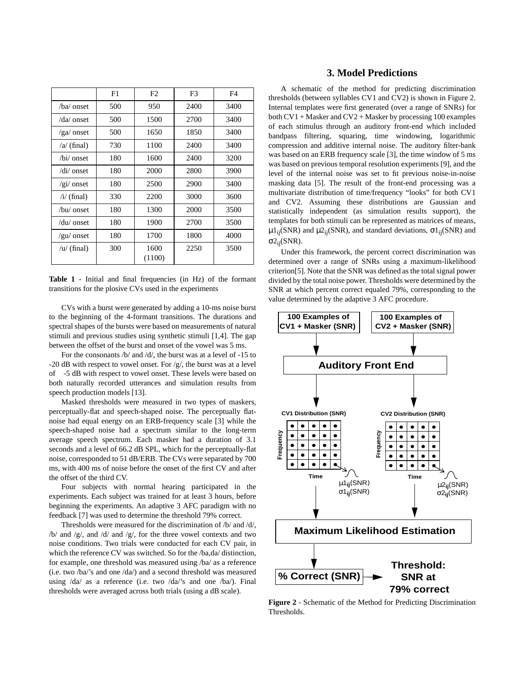|                           | F1  | F2             | F3   | F4   |
|---------------------------|-----|----------------|------|------|
| /ba/ onset                | 500 | 950            | 2400 | 3400 |
| /da/ onset                | 500 | 1500           | 2700 | 3400 |
| $/ga$ onset               | 500 | 1650           | 1850 | 3400 |
| $\alpha$ (final)          | 730 | 1100           | 2400 | 3400 |
| /bi/ onset                | 180 | 1600           | 2400 | 3200 |
| $\frac{di}{\text{onset}}$ | 180 | 2000           | 2800 | 3900 |
| $\sqrt{gi}/$ onset        | 180 | 2500           | 2900 | 3400 |
| $/i/$ (final)             | 330 | 2200           | 3000 | 3600 |
| /bu/ onset                | 180 | 1300           | 2000 | 3500 |
| /du/ onset                | 180 | 1900           | 2700 | 3500 |
| /gu/ onset                | 180 | 1700           | 1800 | 4000 |
| $/u/$ (final)             | 300 | 1600<br>(1100) | 2250 | 3500 |

**Table 1** - Initial and final frequencies (in Hz) of the formant transitions for the plosive CVs used in the experiments

CVs with a burst were generated by adding a 10-ms noise burst to the beginning of the 4-formant transitions. The durations and spectral shapes of the bursts were based on measurements of natural stimuli and previous studies using synthetic stimuli [1,4]. The gap between the offset of the burst and onset of the vowel was 5 ms.

For the consonants /b/ and /d/, the burst was at a level of -15 to -20 dB with respect to vowel onset. For  $/g/$ , the burst was at a level of -5 dB with respect to vowel onset. These levels were based on both naturally recorded utterances and simulation results from speech production models [13].

Masked thresholds were measured in two types of maskers, perceptually-flat and speech-shaped noise. The perceptually flatnoise had equal energy on an ERB-frequency scale [3] while the speech-shaped noise had a spectrum similar to the long-term average speech spectrum. Each masker had a duration of 3.1 seconds and a level of 66.2 dB SPL, which for the perceptually-flat noise, corresponded to 51 dB/ERB. The CVs were separated by 700 ms, with 400 ms of noise before the onset of the first CV and after the offset of the third CV.

Four subjects with normal hearing participated in the experiments. Each subject was trained for at least 3 hours, before beginning the experiments. An adaptive 3 AFC paradigm with no feedback [7] was used to determine the threshold 79% correct.

Thresholds were measured for the discrimination of /b/ and /d/,  $/b$  and  $/g$ , and  $/d$  and  $/g$ , for the three vowel contexts and two noise conditions. Two trials were conducted for each CV pair, in which the reference CV was switched. So for the /ba,da/ distinction, for example, one threshold was measured using /ba/ as a reference (i.e. two /ba/'s and one /da/) and a second threshold was measured using /da/ as a reference (i.e. two /da/'s and one /ba/). Final thresholds were averaged across both trials (using a dB scale).

# **3. Model Predictions**

A schematic of the method for predicting discrimination thresholds (between syllables CV1 and CV2) is shown in Figure 2. Internal templates were first generated (over a range of SNRs) for both CV1 + Masker and CV2 + Masker by processing 100 examples of each stimulus through an auditory front-end which included bandpass filtering, squaring, time windowing, logarithmic compression and additive internal noise. The auditory filter-bank was based on an ERB frequency scale [3], the time window of 5 ms was based on previous temporal resolution experiments [9], and the level of the internal noise was set to fit previous noise-in-noise masking data [5]. The result of the front-end processing was a multivariate distribution of time/frequency "looks" for both CV1 and CV2. Assuming these distributions are Gaussian and statistically independent (as simulation results support), the templates for both stimuli can be represented as matrices of means,  $\mu_1$ <sub>ij</sub>(SNR) and  $\mu_2$ <sub>ij</sub>(SNR), and standard deviations,  $\sigma_1$ <sub>ij</sub>(SNR) and  $σ2_{ii}(SNR)$ .

Under this framework, the percent correct discrimination was determined over a range of SNRs using a maximum-likelihood criterion[5]. Note that the SNR was defined as the total signal power divided by the total noise power. Thresholds were determined by the SNR at which percent correct equaled 79%, corresponding to the value determined by the adaptive 3 AFC procedure.



**Figure 2** - Schematic of the Method for Predicting Discrimination Thresholds.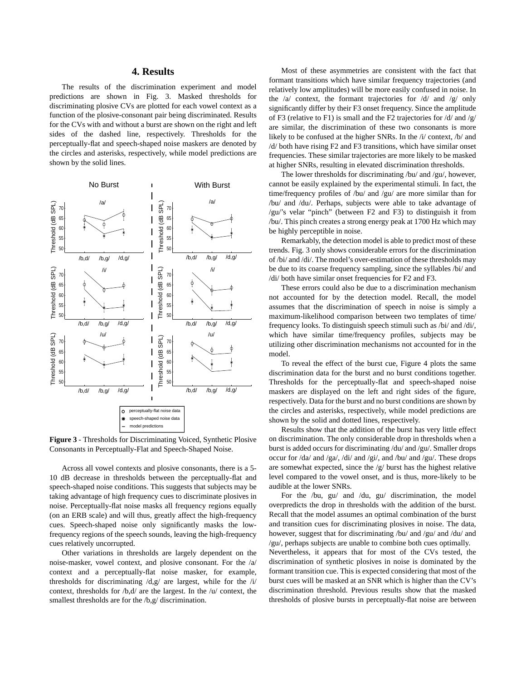### **4. Results**

The results of the discrimination experiment and model predictions are shown in Fig. 3. Masked thresholds for discriminating plosive CVs are plotted for each vowel context as a function of the plosive-consonant pair being discriminated. Results for the CVs with and without a burst are shown on the right and left sides of the dashed line, respectively. Thresholds for the perceptually-flat and speech-shaped noise maskers are denoted by the circles and asterisks, respectively, while model predictions are shown by the solid lines.



**Figure 3** - Thresholds for Discriminating Voiced, Synthetic Plosive Consonants in Perceptually-Flat and Speech-Shaped Noise.

Across all vowel contexts and plosive consonants, there is a 5- 10 dB decrease in thresholds between the perceptually-flat and speech-shaped noise conditions. This suggests that subjects may be taking advantage of high frequency cues to discriminate plosives in noise. Perceptually-flat noise masks all frequency regions equally (on an ERB scale) and will thus, greatly affect the high-frequency cues. Speech-shaped noise only significantly masks the lowfrequency regions of the speech sounds, leaving the high-frequency cues relatively uncorrupted.

Other variations in thresholds are largely dependent on the noise-masker, vowel context, and plosive consonant. For the /a/ context and a perceptually-flat noise masker, for example, thresholds for discriminating /d,g/ are largest, while for the /i/ context, thresholds for /b,d/ are the largest. In the /u/ context, the smallest thresholds are for the /b,g/ discrimination.

Most of these asymmetries are consistent with the fact that formant transitions which have similar frequency trajectories (and relatively low amplitudes) will be more easily confused in noise. In the /a/ context, the formant trajectories for /d/ and /g/ only significantly differ by their F3 onset frequency. Since the amplitude of F3 (relative to F1) is small and the F2 trajectories for  $\frac{d}{dx}$  and  $\frac{g}{dx}$ are similar, the discrimination of these two consonants is more likely to be confused at the higher SNRs. In the /i/ context, /b/ and /d/ both have rising F2 and F3 transitions, which have similar onset frequencies. These similar trajectories are more likely to be masked at higher SNRs, resulting in elevated discrimination thresholds.

The lower thresholds for discriminating /bu/ and /gu/, however, cannot be easily explained by the experimental stimuli. In fact, the time/frequency profiles of /bu/ and /gu/ are more similar than for /bu/ and /du/. Perhaps, subjects were able to take advantage of /gu/'s velar "pinch" (between F2 and F3) to distinguish it from /bu/. This pinch creates a strong energy peak at 1700 Hz which may be highly perceptible in noise.

Remarkably, the detection model is able to predict most of these trends. Fig. 3 only shows considerable errors for the discrimination of /bi/ and /di/. The model's over-estimation of these thresholds may be due to its coarse frequency sampling, since the syllables /bi/ and /di/ both have similar onset frequencies for F2 and F3.

These errors could also be due to a discrimination mechanism not accounted for by the detection model. Recall, the model assumes that the discrimination of speech in noise is simply a maximum-likelihood comparison between two templates of time/ frequency looks. To distinguish speech stimuli such as /bi/ and /di/, which have similar time/frequency profiles, subjects may be utilizing other discrimination mechanisms not accounted for in the model.

To reveal the effect of the burst cue, Figure 4 plots the same discrimination data for the burst and no burst conditions together. Thresholds for the perceptually-flat and speech-shaped noise maskers are displayed on the left and right sides of the figure, respectively. Data for the burst and no burst conditions are shown by the circles and asterisks, respectively, while model predictions are shown by the solid and dotted lines, respectively.

Results show that the addition of the burst has very little effect on discrimination. The only considerable drop in thresholds when a burst is added occurs for discriminating /du/ and /gu/. Smaller drops occur for /da/ and /ga/, /di/ and /gi/, and /bu/ and /gu/. These drops are somewhat expected, since the /g/ burst has the highest relative level compared to the vowel onset, and is thus, more-likely to be audible at the lower SNRs.

For the /bu, gu/ and /du, gu/ discrimination, the model overpredicts the drop in thresholds with the addition of the burst. Recall that the model assumes an optimal combination of the burst and transition cues for discriminating plosives in noise. The data, however, suggest that for discriminating /bu/ and /gu/ and /du/ and /gu/, perhaps subjects are unable to combine both cues optimally.

Nevertheless, it appears that for most of the CVs tested, the discrimination of synthetic plosives in noise is dominated by the formant transition cue. This is expected considering that most of the burst cues will be masked at an SNR which is higher than the CV's discrimination threshold. Previous results show that the masked thresholds of plosive bursts in perceptually-flat noise are between